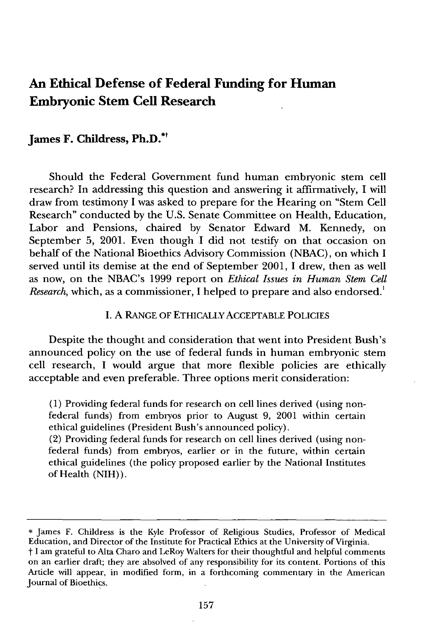# **An Ethical Defense of Federal Funding for Human Embryonic Stem Cell Research**

## **James** F. Childress, Ph.D.\*t

Should the Federal Government fund human embryonic stem cell research? In addressing this question and answering it affirmatively, **I** will draw from testimony **I** was asked to prepare for the Hearing on "Stem Cell Research" conducted **by** the **U.S.** Senate Committee on Health, Education, Labor and Pensions, chaired **by** Senator Edward M. Kennedy, on September **5,** 2001. Even though **I** did not testify on that occasion on behalf of the National Bioethics Advisory Commission **(NBAC),** on which **I** served until its demise at the end of September 2001, **I** drew, then as well as now, on the NBAC's **1999** report on *Ethical Issues in Human Stem Cell Research,* which, as a commissioner, **I** helped to prepare and also endorsed.

## **I. A RANGE** OF ETHICALLY ACCEPTABLE POLICIES

Despite the thought and consideration that went into President Bush's announced policy on the use of federal funds in human embryonic stem cell research, **I** would argue that more flexible policies are ethically acceptable and even preferable. Three options merit consideration:

**(1)** Providing federal funds for research on cell lines derived (using nonfederal funds) from embryos prior to August **9,** 2001 within certain ethical guidelines (President Bush's announced policy).

(2) Providing federal funds for research on cell lines derived (using nonfederal funds) from embryos, earlier or in the future, within certain ethical guidelines (the policy proposed earlier **by** the National Institutes of Health **(NIH)).**

**<sup>\*</sup>** James F. Childress is the Kyle Professor of Religious Studies, Professor of Medical Education, and Director of the Institute for Practical Ethics at the University of Virginia. t **I** am grateful to Alta Charo and LeRoy Walters for their thoughtful and helpful comments on an earlier draft; they are absolved of any responsibility for its content. Portions of this Article will appear, in modified form, in a forthcoming commentary in the American Journal of Bioethics.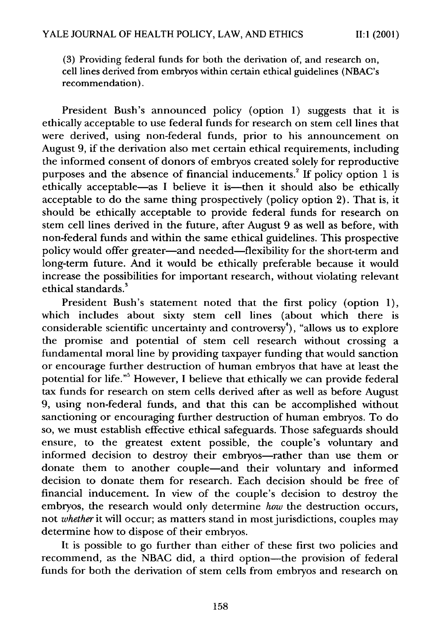(3) Providing federal funds for both the derivation of, and research on, cell lines derived from embryos within certain ethical guidelines (NBAC's recommendation).

President Bush's announced policy (option 1) suggests that it is ethically acceptable to use federal funds for research on stem cell lines that were derived, using non-federal funds, prior to his announcement on August 9, if the derivation also met certain ethical requirements, including the informed consent of donors of embryos created solely for reproductive purposes and the absence of financial inducements.<sup>2</sup> If policy option 1 is ethically acceptable-as I believe it is-then it should also be ethically acceptable to do the same thing prospectively (policy option 2). That is, it should be ethically acceptable to provide federal funds for research on stem cell lines derived in the future, after August 9 as well as before, with non-federal funds and within the same ethical guidelines. This prospective policy would offer greater-and needed-flexibility for the short-term and long-term future. And it would be ethically preferable because it would increase the possibilities for important research, without violating relevant ethical standards.

President Bush's statement noted that the first policy (option 1), which includes about sixty stem cell lines (about which there is considerable scientific uncertainty and controversy<sup>4</sup>), "allows us to explore the promise and potential of stem cell research without crossing a fundamental moral line by providing taxpayer funding that would sanction or encourage further destruction of human embryos that have at least the potential for life."<sup>5</sup> However, I believe that ethically we can provide federal tax funds for research on stem cells derived after as well as before August 9, using non-federal funds, and that this can be accomplished without sanctioning or encouraging further destruction of human embryos. To do so, we must establish effective ethical safeguards. Those safeguards should ensure, to the greatest extent possible, the couple's voluntary and informed decision to destroy their embryos-rather than use them or donate them to another couple-and their voluntary and informed decision to donate them for research. Each decision should be free of financial inducement. In view of the couple's decision to destroy the embryos, the research would only determine *how* the destruction occurs, not *whether* it will occur; as matters stand in most jurisdictions, couples may determine how to dispose of their embryos.

It is possible to go further than either of these first two policies and recommend, as the NBAC did, a third option-the provision of federal funds for both the derivation of stem cells from embryos and research on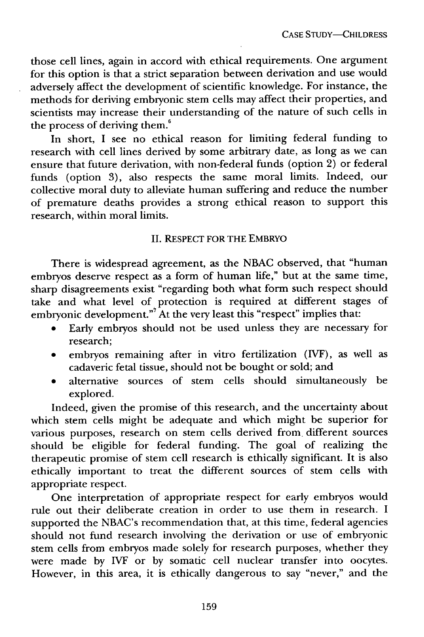those cell lines, again in accord with ethical requirements. One argument for this option is that a strict separation between derivation and use would adversely affect the development of scientific knowledge. For instance, the methods for deriving embryonic stem cells may affect their properties, and scientists may increase their understanding of the nature of such cells in the process of deriving them. $^6$ 

In short, I see no ethical reason for limiting federal funding to research with cell lines derived by some arbitrary date, as long as we can ensure that future derivation, with non-federal funds (option 2) or federal funds (option 3), also respects the same moral limits. Indeed, our collective moral duty to alleviate human suffering and reduce the number of premature deaths provides a strong ethical reason to support this research, within moral limits.

## II. RESPECT FOR THE EMBRYO

There is widespread agreement, as the NBAC observed, that "human embryos deserve respect as a form of human life," but at the same time, sharp disagreements exist "regarding both what form such respect should take and what level of protection is required at different stages of embryonic development." $^7$  At the very least this "respect" implies that:

- Early embryos should not be used unless they are necessary for research;
- **"** embryos remaining after in vitro fertilization (IVF), as well as cadaveric fetal tissue, should not be bought or sold; and
- alternative sources of stem cells should simultaneously be explored.

Indeed, given the promise of this research, and the uncertainty about which stem cells might be adequate and which might be superior for various purposes, research on stem cells derived from. different sources should be eligible for federal funding. The goal of realizing the therapeutic promise of stem cell research is ethically significant. It is also ethically important to treat the different sources of stem cells with appropriate respect.

One interpretation of appropriate respect for early embryos would rule out their deliberate creation in order to use them in research. I supported the NBAC's recommendation that, at this time, federal agencies should not fund research involving the derivation or use of embryonic stem cells from embryos made solely for research purposes, whether they were made by IVF or by somatic cell nuclear transfer into oocytes. However, in this area, it is ethically dangerous to say "never," and the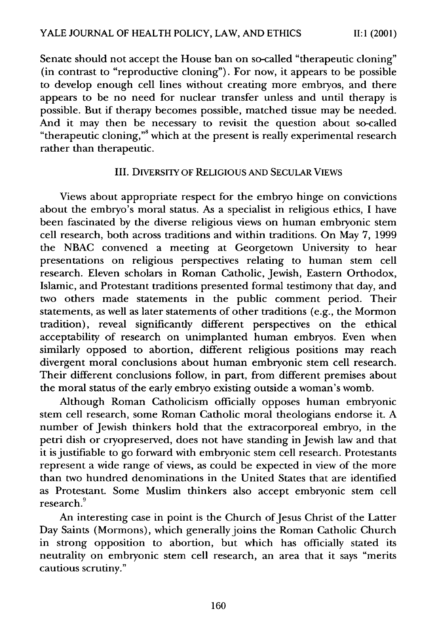Senate should not accept the House ban on so-called "therapeutic cloning" (in contrast to "reproductive cloning"). For now, it appears to be possible to develop enough cell lines without creating more embryos, and there appears to be no need for nuclear transfer unless and until therapy is possible. But if therapy becomes possible, matched tissue may be needed. And it may then be necessary to revisit the question about so-called therapeutic cloning," which at the present is really experimental research " rather than therapeutic.

#### III. DIvERsITY OF RELIGIOUS AND SECULAR VIEWS

Views about appropriate respect for the embryo hinge on convictions about the embryo's moral status. As a specialist in religious ethics, I have been fascinated by the diverse religious views on human embryonic stem cell research, both across traditions and within traditions. On May 7, 1999 the NBAC convened a meeting at Georgetown University to hear presentations on religious perspectives relating to human stem cell research. Eleven scholars in Roman Catholic, Jewish, Eastern Orthodox, Islamic, and Protestant traditions presented formal testimony that day, and two others made statements in the public comment period. Their statements, as well as later statements of other traditions (e.g., the Mormon tradition), reveal significantly different perspectives on the ethical acceptability of research on unimplanted human embryos. Even when similarly opposed to abortion, different religious positions may reach divergent moral conclusions about human embryonic stem cell research. Their different conclusions follow, in part, from different premises about the moral status of the early embryo existing outside a woman's womb.

Although Roman Catholicism officially opposes human embryonic stem cell research, some Roman Catholic moral theologians endorse it. A number of Jewish thinkers hold that the extracorporeal embryo, in the petri dish or cryopreserved, does not have standing in Jewish law and that it is justifiable to go forward with embryonic stem cell research. Protestants represent a wide range of views, as could be expected in view of the more than two hundred denominations in the United States that are identified as Protestant. Some Muslim thinkers also accept embryonic stem cell research.<sup>9</sup>

An interesting case in point is the Church of Jesus Christ of the Latter Day Saints (Mormons), which generally joins the Roman Catholic Church in strong opposition to abortion, but which has officially stated its neutrality on embryonic stem cell research, an area that it says "merits cautious scrutiny."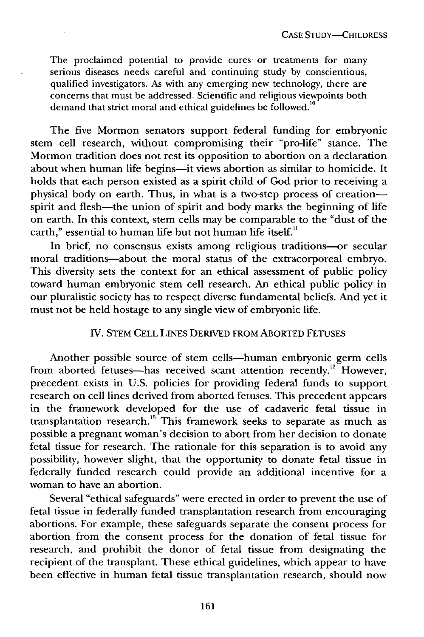The proclaimed potential to provide cures or treatments for many serious diseases needs careful and continuing study by conscientious, qualified investigators. As with any emerging new technology, there are concerns that must be addressed. Scientific and religious viewpoints both demand that strict moral and ethical guidelines be followed.'

The five Mormon senators support federal funding for embryonic stem cell research, without compromising their "pro-life" stance. The Mormon tradition does not rest its opposition to abortion on a declaration about when human life begins—it views abortion as similar to homicide. It holds that each person existed as a spirit child of God prior to receiving a physical body on earth. Thus, in what is a two-step process of creation spirit and flesh-the union of spirit and body marks the beginning of life on earth. In this context, stem cells may be comparable to the "dust of the earth," essential to human life but not human life itself.<sup>11</sup>

In brief, no consensus exists among religious traditions-or secular moral traditions-about the moral status of the extracorporeal embryo. This diversity sets the context for an ethical assessment of public policy toward human embryonic stem cell research. An ethical public policy in our pluralistic society has to respect diverse fundamental beliefs. And yet it must not be held hostage to any single view of embryonic life.

## IV. STEM CELL LINES DERIVED FROM ABORTED FETUSES

Another possible source of stem cells-human embryonic germ cells from aborted fetuses—has received scant attention recently.<sup>12</sup> However, precedent exists in U.S. policies for providing federal funds to support research on cell lines derived from aborted fetuses. This precedent appears in the framework developed for the use of cadaveric fetal tissue in transplantation research.<sup>13</sup> This framework seeks to separate as much as possible a pregnant woman's decision to abort from her decision to donate fetal tissue for research. The rationale for this separation is to avoid any possibility, however slight, that the opportunity to donate fetal tissue in federally funded research could provide an additional incentive for a woman to have an abortion.

Several "ethical safeguards" were erected in order to prevent the use of fetal tissue in federally funded transplantation research from encouraging abortions. For example, these safeguards separate the consent process for abortion from the consent process for the donation of fetal tissue for research, and prohibit the donor of fetal tissue from designating the recipient of the transplant. These ethical guidelines, which appear to have been effective in human fetal tissue transplantation research, should now

161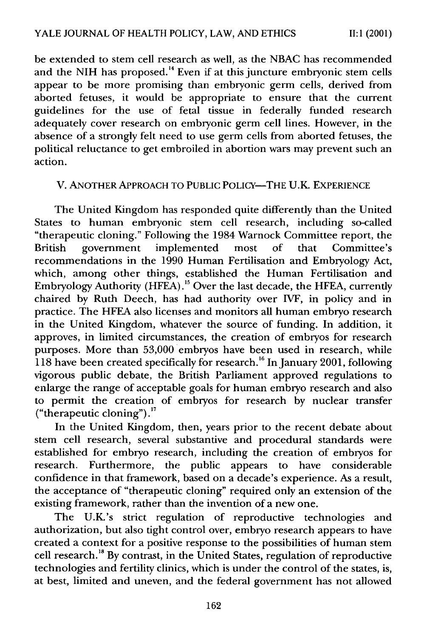be extended to stem cell research as well, as the NBAC has recommended and the NIH has proposed.<sup>14</sup> Even if at this juncture embryonic stem cells appear to be more promising than embryonic germ cells, derived from aborted fetuses, it would be appropriate to ensure that the current guidelines for the use of fetal tissue in federally funded research adequately cover research on embryonic germ cell lines. However, in the absence of a strongly felt need to use germ cells from aborted fetuses, the political reluctance to get embroiled in abortion wars may prevent such an action.

## V. ANOTHER APPROACH TO **PUBLIC** POLICY-THE U.K. EXPERIENCE

The United Kingdom has responded quite differently than the United States to human embryonic stem cell research, including so-called "therapeutic cloning." Following the 1984 Warnock Committee report, the British government implemented most of that Committee's recommendations in the 1990 Human Fertilisation and Embryology Act, which, among other things, established the Human Fertilisation and Embryology Authority (HFEA).<sup>15</sup> Over the last decade, the HFEA, currently chaired by Ruth Deech, has had authority over IVF, in policy and in practice. The HFEA also licenses and monitors all human embryo research in the United Kingdom, whatever the source of funding. In addition, it approves, in limited circumstances, the creation of embryos for research purposes. More than 53,000 embryos have been used in research, while  $118$  have been created specifically for research.<sup>16</sup> In January 2001, following vigorous public debate, the British Parliament approved regulations to enlarge the range of acceptable goals for human embryo research and also to permit the creation of embryos for research by nuclear transfer ("therapeutic cloning")."

In the United Kingdom, then, years prior to the recent debate about stem cell research, several substantive and procedural standards were established for embryo research, including the creation of embryos for research. Furthermore, the public appears to have considerable confidence in that framework, based on a decade's experience. As a result, the acceptance of "therapeutic cloning" required only an extension of the existing framework, rather than the invention of a new one.

The U.K's strict regulation of reproductive technologies and authorization, but also tight control over, embryo research appears to have created a context for a positive response to the possibilities of human stem cell research.<sup>18</sup> By contrast, in the United States, regulation of reproductive technologies and fertility clinics, which is under the control of the states, is, at best, limited and uneven, and the federal government has not allowed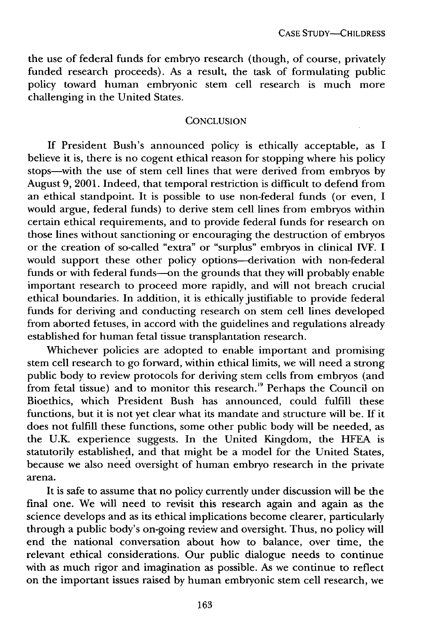the use of federal funds for embryo research (though, of course, privately funded research proceeds). As a result, the task of formulating public policy toward human embryonic stem cell research is much more challenging in the United States.

#### **CONCLUSION**

If President Bush's announced policy is ethically acceptable, as I believe it is, there is no cogent ethical reason for stopping where his policy stops-with the use of stem cell lines that were derived from embryos by August 9, 2001. Indeed, that temporal restriction is difficult to defend from an ethical standpoint. It is possible to use non-federal funds (or even, I would argue, federal funds) to derive stem cell lines from embryos within certain ethical requirements, and to provide federal funds for research on those lines without sanctioning or encouraging the destruction of embryos or the creation of so-called "extra" or "surplus" embryos in clinical IVF. I would support these other policy options-derivation with non-federal funds or with federal funds-on the grounds that they will probably enable important research to proceed more rapidly, and will not breach crucial ethical boundaries. In addition, it is ethically justifiable to provide federal funds for deriving and conducting research on stem cell lines developed from aborted fetuses, in accord with the guidelines and regulations already established for human fetal tissue transplantation research.

Whichever policies are adopted to enable important and promising stem cell research to go forward, within ethical limits, we will need a strong public body to review protocols for deriving stem cells from embryos (and from fetal tissue) and to monitor this research.<sup>19</sup> Perhaps the Council on Bioethics, which President Bush has announced, could fulfill these functions, but it is not yet clear what its mandate and structure will be. If it does not fulfill these functions, some other public body will be needed, as the U.K. experience suggests. In the United Kingdom, the HFEA is statutorily established, and that might be a model for the United States, because we also need oversight of human embryo research in the private arena.

It is safe to assume that no policy currently under discussion will be the final one. We will need to revisit this research again and again as the science develops and as its ethical implications become clearer, particularly through a public body's on-going review and oversight. Thus, no policy will end the national conversation about how to balance, over time, the relevant ethical considerations. Our public dialogue needs to continue with as much rigor and imagination as possible. As we continue to reflect on the important issues raised by human embryonic stem cell research, we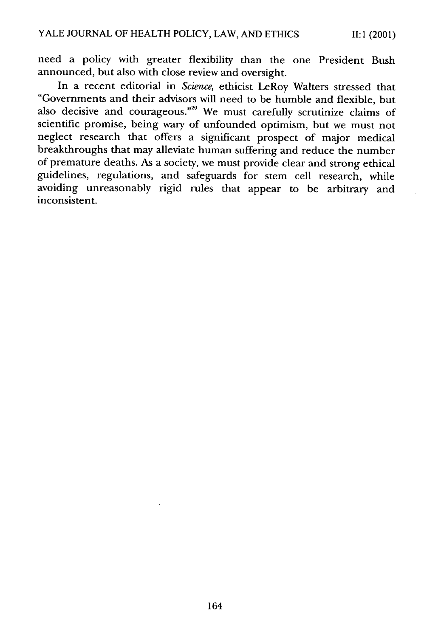need a policy with greater flexibility than the one President Bush announced, but also with close review and oversight.

In a recent editorial in *Science,* ethicist LeRoy Walters stressed that "Governments and their advisors will need to be humble and flexible, but also decisive and courageous."<sup>20</sup> We must carefully scrutinize claims of scientific promise, being wary of unfounded optimism, but we must not neglect research that offers a significant prospect of major medical breakthroughs that may alleviate human suffering and reduce the number of premature deaths. As a society, we must provide clear and strong ethical guidelines, regulations, and safeguards for stem cell research, while avoiding unreasonably rigid rules that appear to be arbitrary and inconsistent.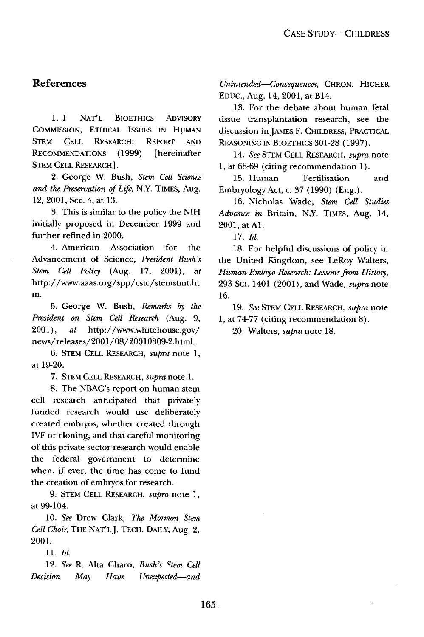## **References**

**1.** 1 **NAT'L** BIOETHICS ADVISORY COMMISSION, ETHICAL **ISSUES IN** HUMAN **STEM CELL RESEARCH:** REPORT **AND RECOMMENDATIONS** (1999) [hereinafter **STEM CELL** RESEARCH].

2. George W. Bush, *Stem Cell Science and the Preservation of Life,* N.Y. **TIMES,** Aug. 12, 2001, Sec. 4, at 13.

3. This is similar to the policy the NIH initially proposed in December 1999 and further refined in 2000.

4. American Association for the Advancement of Science, *President Bush's Stem Cell Policy* (Aug. 17, 2001), *at* http://www.aaas.org/spp/cstc/stemstmt.ht m.

5. George W. Bush, *Remarks by the President on Stem Cell Research* (Aug. 9, 2001), *at* http://www.whitehouse.gov/ news/releases/2001/08/20010809-2.html.

6. STEM CELL RESEARCH, *supra* note **1,** at 19-20.

7. STEM CELL RESEARCH, *supra* note 1.

8. The NBAC's report on human stem cell research anticipated that privately funded research would use deliberately created embryos, whether created through IVF or cloning, and that careful monitoring of this private sector research would enable the federal government to determine when, if ever, the time has come to fund the creation of embryos for research.

9. **STEM CELL** RESEARCH, *supra* note 1, at 99-104.

10. *See* Drew Clark, *The Mormon Stem Cell Choir,* THE **NAT'LJ. TECH.** DAILY, Aug. 2, 2001.

*11. Id.*

12. *See* R. *Aia* Charo, *Bush's Stem Cell Decision May Have Unexpected-and* *Unintended-Consequences,* CHRON. HIGHER **EDUC.,** Aug. 14, 2001, at B14.

13. For the debate about human fetal tissue transplantation research, see the discussion in JAMES F. CHILDRESS, PRACTICAL **REASONING** IN BIOETHICS 301-28 (1997).

14. *See* **STEM CELL** RESEARCH, *supra* note 1, at 68-69 (citing recommendation 1).

15. Human Fertilisation and Embryology Act, c. 37 (1990) (Eng.).

16. Nicholas Wade, *Stem Cell Studies Advance in* Britain, N.Y. TIMES, Aug. 14, 2001, at **Al.**

17. *Id.*

18. For helpful discussions of policy in the United Kingdom, see LeRoy Walters, *Human Embryo Research: Lessons from History,* 293 **SCI.** 1401 (2001), and Wade, *supra* note 16.

19. *See* STEM CELL RESEARCH, *supra* note 1, at 74-77 (citing recommendation 8).

20. Walters, *supra* note 18.